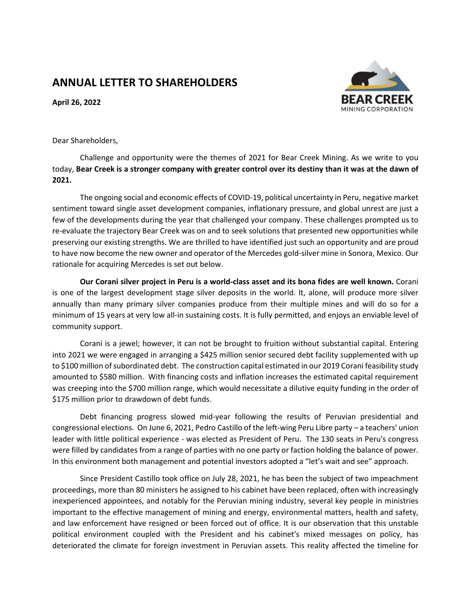## **ANNUAL LETTER TO SHAREHOLDERS**

**April 26, 2022**



Dear Shareholders,

Challenge and opportunity were the themes of 2021 for Bear Creek Mining. As we write to you today, **Bear Creek is a stronger company with greater control over its destiny than it was at the dawn of 2021.**

The ongoing social and economic effects of COVID-19, political uncertainty in Peru, negative market sentiment toward single asset development companies, inflationary pressure, and global unrest are just a few of the developments during the year that challenged your company. These challenges prompted us to re-evaluate the trajectory Bear Creek was on and to seek solutions that presented new opportunities while preserving our existing strengths. We are thrilled to have identified just such an opportunity and are proud to have now become the new owner and operator of the Mercedes gold-silver mine in Sonora, Mexico. Our rationale for acquiring Mercedes is set out below.

**Our Corani silver project in Peru is a world-class asset and its bona fides are well known.** Corani is one of the largest development stage silver deposits in the world. It, alone, will produce more silver annually than many primary silver companies produce from their multiple mines and will do so for a minimum of 15 years at very low all-in sustaining costs. It is fully permitted, and enjoys an enviable level of community support.

Corani is a jewel; however, it can not be brought to fruition without substantial capital. Entering into 2021 we were engaged in arranging a \$425 million senior secured debt facility supplemented with up to \$100 million of subordinated debt. The construction capital estimated in our 2019 Corani feasibility study amounted to \$580 million. With financing costs and inflation increases the estimated capital requirement was creeping into the \$700 million range, which would necessitate a dilutive equity funding in the order of \$175 million prior to drawdown of debt funds.

Debt financing progress slowed mid-year following the results of Peruvian presidential and congressional elections. On June 6, 2021, Pedro Castillo of the left-wing Peru Libre party – a teachers' union leader with little political experience - was elected as President of Peru. The 130 seats in Peru's congress were filled by candidates from a range of parties with no one party or faction holding the balance of power. In this environment both management and potential investors adopted a "let's wait and see" approach.

Since President Castillo took office on July 28, 2021, he has been the subject of two impeachment proceedings, more than 80 ministers he assigned to his cabinet have been replaced, often with increasingly inexperienced appointees, and notably for the Peruvian mining industry, several key people in ministries important to the effective management of mining and energy, environmental matters, health and safety, and law enforcement have resigned or been forced out of office. It is our observation that this unstable political environment coupled with the President and his cabinet's mixed messages on policy, has deteriorated the climate for foreign investment in Peruvian assets. This reality affected the timeline for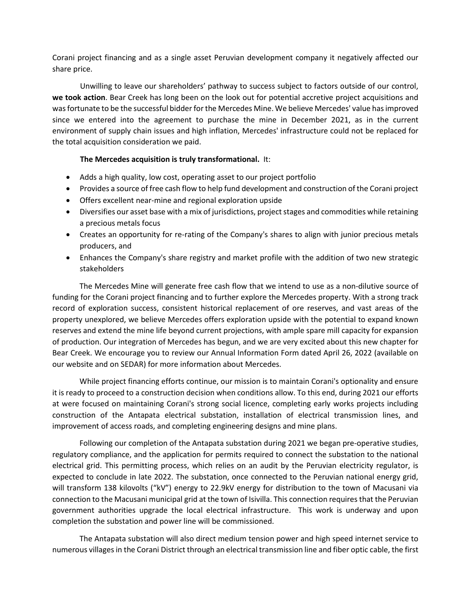Corani project financing and as a single asset Peruvian development company it negatively affected our share price.

Unwilling to leave our shareholders' pathway to success subject to factors outside of our control, **we took action**. Bear Creek has long been on the look out for potential accretive project acquisitions and was fortunate to be the successful bidder for the Mercedes Mine. We believe Mercedes' value has improved since we entered into the agreement to purchase the mine in December 2021, as in the current environment of supply chain issues and high inflation, Mercedes' infrastructure could not be replaced for the total acquisition consideration we paid.

## **The Mercedes acquisition is truly transformational.** It:

- Adds a high quality, low cost, operating asset to our project portfolio
- Provides a source of free cash flow to help fund development and construction of the Corani project
- Offers excellent near-mine and regional exploration upside
- Diversifies our asset base with a mix of jurisdictions, project stages and commodities while retaining a precious metals focus
- Creates an opportunity for re-rating of the Company's shares to align with junior precious metals producers, and
- Enhances the Company's share registry and market profile with the addition of two new strategic stakeholders

The Mercedes Mine will generate free cash flow that we intend to use as a non-dilutive source of funding for the Corani project financing and to further explore the Mercedes property. With a strong track record of exploration success, consistent historical replacement of ore reserves, and vast areas of the property unexplored, we believe Mercedes offers exploration upside with the potential to expand known reserves and extend the mine life beyond current projections, with ample spare mill capacity for expansion of production. Our integration of Mercedes has begun, and we are very excited about this new chapter for Bear Creek. We encourage you to review our Annual Information Form dated April 26, 2022 (available on our website and on SEDAR) for more information about Mercedes.

While project financing efforts continue, our mission is to maintain Corani's optionality and ensure it is ready to proceed to a construction decision when conditions allow. To this end, during 2021 our efforts at were focused on maintaining Corani's strong social licence, completing early works projects including construction of the Antapata electrical substation, installation of electrical transmission lines, and improvement of access roads, and completing engineering designs and mine plans.

Following our completion of the Antapata substation during 2021 we began pre-operative studies, regulatory compliance, and the application for permits required to connect the substation to the national electrical grid. This permitting process, which relies on an audit by the Peruvian electricity regulator, is expected to conclude in late 2022. The substation, once connected to the Peruvian national energy grid, will transform 138 kilovolts ("kV") energy to 22.9kV energy for distribution to the town of Macusani via connection to the Macusani municipal grid at the town of Isivilla. This connection requires that the Peruvian government authorities upgrade the local electrical infrastructure. This work is underway and upon completion the substation and power line will be commissioned.

The Antapata substation will also direct medium tension power and high speed internet service to numerous villages in the Corani District through an electrical transmission line and fiber optic cable, the first